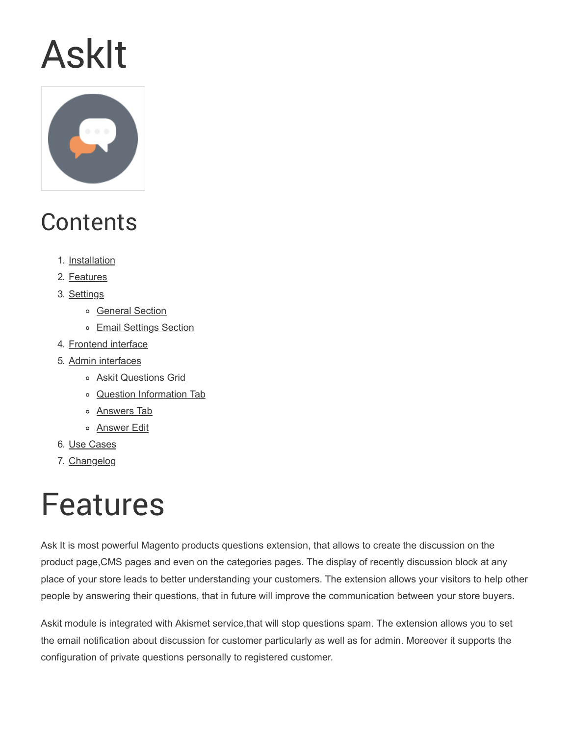# AskIt



## **Contents**

- 1. [Installation](http://docs.swissuplabs.com/m2/extensions/askit/installation/)
- 2. [Features](#page-0-0)
- 3. [Settings](#page-1-0)
	- o [General Section](#page-1-1)
	- o [Email Settings Section](#page-2-0)
- 4. [Frontend interface](#page-4-0)
- 5. [Admin interfaces](#page-4-1)
	- o **[Askit Questions Grid](#page-5-0)**
	- o [Question Information Tab](#page-5-1)
	- o **[Answers Tab](#page-6-0)**
	- o **[Answer Edit](#page-6-1)**
- 6. [Use Cases](http://docs.swissuplabs.com/m2/extensions/askit/use-cases/)
- 7. [Changelog](http://docs.swissuplabs.com/m2/extensions/askit/changelog/)

## <span id="page-0-0"></span>Features

Ask It is most powerful Magento products questions extension, that allows to create the discussion on the product page,CMS pages and even on the categories pages. The display of recently discussion block at any place of your store leads to better understanding your customers. The extension allows your visitors to help other people by answering their questions, that in future will improve the communication between your store buyers.

Askit module is integrated with Akismet service,that will stop questions spam. The extension allows you to set the email notification about discussion for customer particularly as well as for admin. Moreover it supports the configuration of private questions personally to registered customer.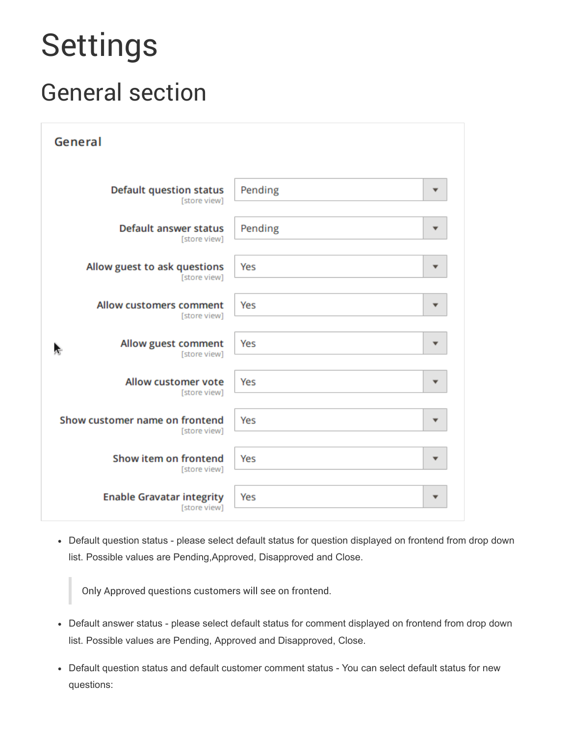# <span id="page-1-0"></span>Settings

## <span id="page-1-1"></span>General section

| General                                        |                          |
|------------------------------------------------|--------------------------|
| <b>Default question status</b>                 | Pending                  |
| [store view]                                   | ▼                        |
| <b>Default answer status</b>                   | Pending                  |
| [store view]                                   | ▼                        |
| Allow guest to ask questions                   | Yes                      |
| [store view]                                   | ▼                        |
| <b>Allow customers comment</b>                 | Yes                      |
| [store view]                                   | ▼                        |
| Allow guest comment<br>÷<br>[store view]       | Yes<br>▼                 |
| <b>Allow customer vote</b><br>[store view]     | Yes                      |
| Show customer name on frontend<br>[store view] | Yes                      |
| Show item on frontend                          | Yes                      |
| [store view]                                   | ▼                        |
| <b>Enable Gravatar integrity</b>               | Yes                      |
| [store view]                                   | $\overline{\phantom{a}}$ |

Default question status - please select default status for question displayed on frontend from drop down list. Possible values are Pending,Approved, Disapproved and Close.

Only Approved questions customers will see on frontend.

- Default answer status please select default status for comment displayed on frontend from drop down list. Possible values are Pending, Approved and Disapproved, Close.
- Default question status and default customer comment status You can select default status for new questions: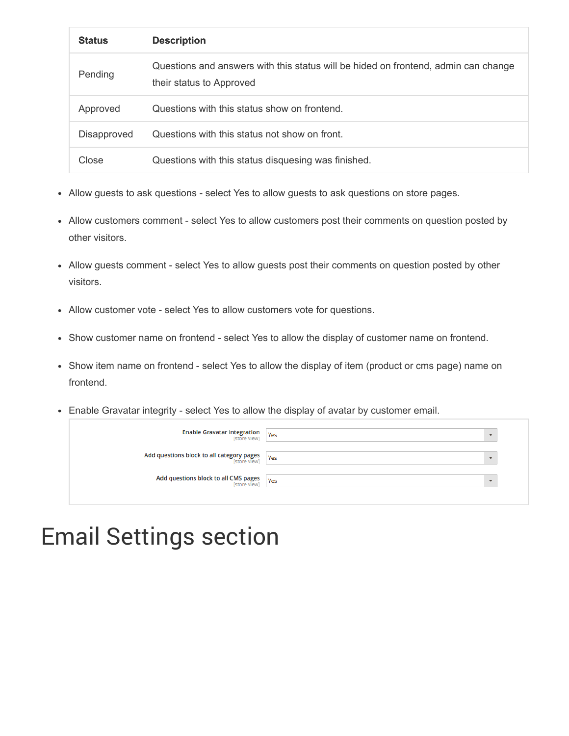| <b>Status</b> | <b>Description</b>                                                                                             |
|---------------|----------------------------------------------------------------------------------------------------------------|
| Pending       | Questions and answers with this status will be hided on frontend, admin can change<br>their status to Approved |
| Approved      | Questions with this status show on frontend.                                                                   |
| Disapproved   | Questions with this status not show on front.                                                                  |
| Close         | Questions with this status disquesing was finished.                                                            |

- Allow guests to ask questions select Yes to allow guests to ask questions on store pages.
- Allow customers comment select Yes to allow customers post their comments on question posted by other visitors.
- Allow guests comment select Yes to allow guests post their comments on question posted by other visitors.
- Allow customer vote select Yes to allow customers vote for questions.
- Show customer name on frontend select Yes to allow the display of customer name on frontend.
- Show item name on frontend select Yes to allow the display of item (product or cms page) name on frontend.
- Enable Gravatar integrity select Yes to allow the display of avatar by customer email.

| <b>Enable Gravatar integration</b><br>[store view]<br>Yes                                                   |  |
|-------------------------------------------------------------------------------------------------------------|--|
| Add questions block to all category pages $\left  \begin{array}{c} \gamma_{\rm{ES}} \\ \end{array} \right $ |  |
| <b>Add questions block to all CMS pages</b> Yes                                                             |  |

### <span id="page-2-0"></span>Email Settings section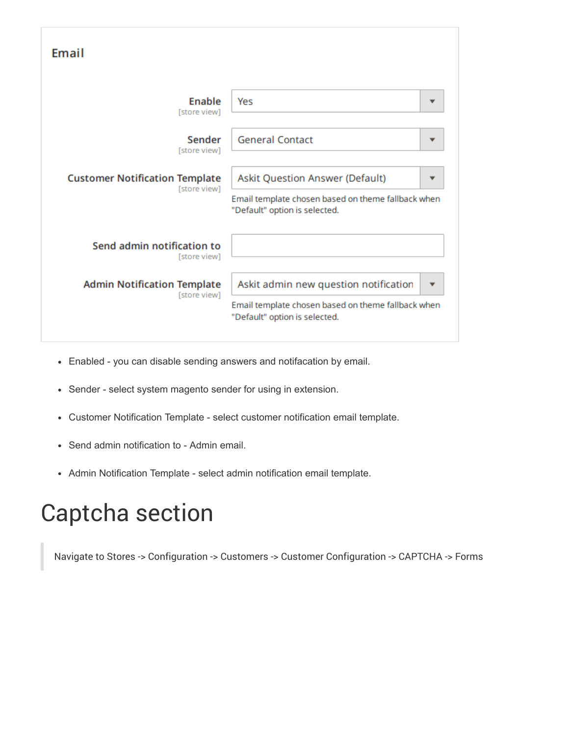| Email                                                 |                                                                                                                              |
|-------------------------------------------------------|------------------------------------------------------------------------------------------------------------------------------|
| Enable<br>[store view]                                | Yes                                                                                                                          |
| Sender<br>[store view]                                | <b>General Contact</b>                                                                                                       |
| <b>Customer Notification Template</b><br>[store view] | Askit Question Answer (Default)<br>Email template chosen based on theme fallback when<br>"Default" option is selected.       |
| Send admin notification to<br>[store view]            |                                                                                                                              |
| <b>Admin Notification Template</b><br>[store view]    | Askit admin new question notification<br>Email template chosen based on theme fallback when<br>"Default" option is selected. |

- Enabled you can disable sending answers and notifacation by email.
- Sender select system magento sender for using in extension.
- Customer Notification Template select customer notification email template.
- Send admin notification to Admin email.
- Admin Notification Template select admin notification email template.

### Captcha section

Navigate to Stores -> Configuration -> Customers -> Customer Configuration -> CAPTCHA -> Forms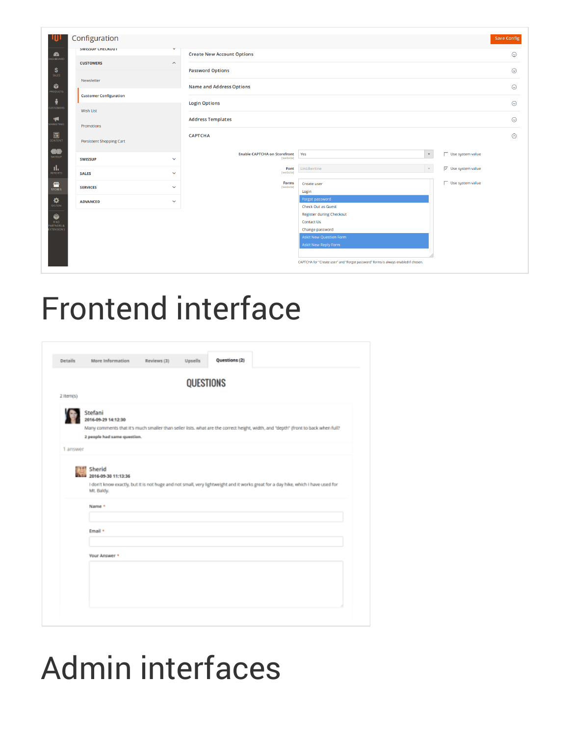|                                                 | Configuration                 |                    |                                               |                                                                                    | <b>Save Config</b>                                  |
|-------------------------------------------------|-------------------------------|--------------------|-----------------------------------------------|------------------------------------------------------------------------------------|-----------------------------------------------------|
| $\bullet$<br>SHBOARD                            | SWISSUP CHECKOUT              |                    | <b>Create New Account Options</b>             |                                                                                    | $\odot$                                             |
| $$^{\circ}$<br>SALES                            | <b>CUSTOMERS</b>              | $\curvearrowright$ | <b>Password Options</b>                       |                                                                                    | $\odot$                                             |
| Ŵ.                                              | Newsletter                    |                    | <b>Name and Address Options</b>               |                                                                                    | $\odot$                                             |
| <b>RODUCTS</b><br>$\ddot{\textbf{r}}$           | <b>Customer Configuration</b> |                    | <b>Login Options</b>                          |                                                                                    | $\odot$                                             |
| <b>JSTOMERS</b>                                 | <b>Wish List</b>              |                    |                                               |                                                                                    |                                                     |
| $\blacktriangleright$<br><b>MARKETING</b>       | Promotions                    |                    | <b>Address Templates</b>                      |                                                                                    | $\odot$                                             |
| $\overline{\mathbf{m}}$                         | Persistent Shopping Cart      |                    | <b>CAPTCHA</b>                                |                                                                                    | $\odot$                                             |
| <b>OO</b>                                       | <b>SWISSUP</b>                | $\checkmark$       | Enable CAPTCHA on Storefront Yes<br>[website] | $\mathbf{v}$                                                                       | Use system value                                    |
| al.<br>REPORTS                                  | <b>SALES</b>                  | $\checkmark$       | Font<br>[website]                             | LinLibertine<br>$\mathbf{v}$                                                       | $\overline{\smash[b]{\mathsf{v}}}$ Use system value |
| <b>TITLE</b><br>STORES                          | <b>SERVICES</b>               | $\checkmark$       | Forms<br>[website]                            | Create user<br>Login                                                               | Use system value                                    |
| $\mathbf{\ddot{\mathbf{\Phi}}}_{\text{system}}$ | <b>ADVANCED</b>               | $\checkmark$       |                                               | Forgot password                                                                    |                                                     |
| ۱                                               |                               |                    |                                               | <b>Check Out as Guest</b><br><b>Register during Checkout</b>                       |                                                     |
| <b>FIND</b><br>ARTNERS &<br><b>XTEN SIONS</b>   |                               |                    |                                               | <b>Contact Us</b><br>Change password                                               |                                                     |
|                                                 |                               |                    |                                               | <b>Askit New Question Form</b><br><b>Askit New Reply Form</b>                      |                                                     |
|                                                 |                               |                    |                                               | CAPTCHA for "Create user" and "Forgot password" forms is always enabled if chosen. |                                                     |

## <span id="page-4-0"></span>Frontend interface

|           | <b>QUESTIONS</b>                                                                                                                                                     |
|-----------|----------------------------------------------------------------------------------------------------------------------------------------------------------------------|
| 2 Item(s) |                                                                                                                                                                      |
|           |                                                                                                                                                                      |
|           | Stefani<br>2016-09-29 14:12:30                                                                                                                                       |
|           | Many comments that it's much smaller than seller lists. what are the correct height, width, and "depth" (front to back when full?                                    |
|           | 2 people had same question.                                                                                                                                          |
| 1 answer  |                                                                                                                                                                      |
|           | I don't know exactly, but it is not huge and not small, very lightweight and it works great for a day hike, which i have used for<br>Mt. Baldy.<br>Name +<br>Email + |
|           | Your Answer *                                                                                                                                                        |
|           |                                                                                                                                                                      |

# <span id="page-4-1"></span>Admin interfaces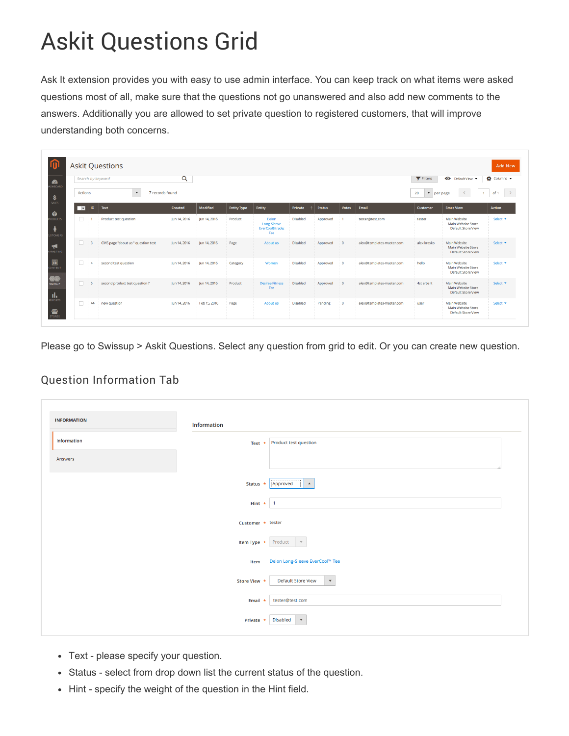## <span id="page-5-0"></span>Askit Questions Grid

Ask It extension provides you with easy to use admin interface. You can keep track on what items were asked questions most of all, make sure that the questions not go unanswered and also add new comments to the answers. Additionally you are allowed to set private question to registered customers, that will improve understanding both concerns.

|                          |                | Search by keyword                  | Q            |              |                    |                                           |                 |               |                |                           | Filters                    | Default View v                                                         | Columns v             |
|--------------------------|----------------|------------------------------------|--------------|--------------|--------------------|-------------------------------------------|-----------------|---------------|----------------|---------------------------|----------------------------|------------------------------------------------------------------------|-----------------------|
|                          | Actions        | $\bullet$<br>7 records found       |              |              |                    |                                           |                 |               |                |                           | 20<br>$\blacktriangledown$ | $\mathbf{1}$<br>per page                                               | $\rightarrow$<br>of 1 |
| $\overline{\phantom{a}}$ | ID             | Text                               | Created      | Modified     | <b>Entity Type</b> | Entity                                    | Private         | <b>Status</b> | Votes          | Email                     | Customer                   | <b>Store View</b>                                                      | <b>Action</b>         |
| $\Box$                   |                | Product test question              | Jun 14, 2016 | Jun 14, 2016 | Product            | Deion<br>Long-Sleeve<br>EverCool™:<br>Tee | <b>Disabled</b> | Approved      | $\overline{1}$ | tester@test.com           | tester                     | <b>Main Website</b><br>Main Website Store<br>Default Store View        | Select <b>v</b>       |
| $\Box$                   | 3              | CMS page "about us " question test | lun 14, 2016 | lun 14, 2016 | Page               | About us                                  | Disabled        | Approved      | $\overline{0}$ | alex@templates-master.com | alex krasko                | Main Website<br>Main Website Store<br>Default Store View               | Select <b>v</b>       |
| $\Box$                   |                | second test question               | lun 14, 2016 | lun 14, 2016 | Category           | Women                                     | <b>Disabled</b> | Approved      | $\circ$        | alex@templates-master.com | hello                      | Main Website<br>Main Website Store<br><b>Default Store View</b>        | Select <b>v</b>       |
| $\Box$                   | $\overline{a}$ | second product test question?      | Jun 14, 2016 | Jun 14, 2016 | Product            | <b>Desiree Fitness</b><br>Tee             | <b>Disabled</b> | Approved      | $\overline{0}$ | alex@templates-master.com | 4st erte rt                | Main Website<br>Main Website Store<br><b>Default Store View</b>        | Select <b>v</b>       |
|                          | 44             | new question                       | Jun 14, 2016 | Feb 15, 2016 | Page               | About us                                  | <b>Disabled</b> | Pending       | $\circ$        | alex@templates-master.com | user                       | <b>Main Website</b><br>Main Website Store<br><b>Default Store View</b> | Select <b>v</b>       |

Please go to Swissup > Askit Questions. Select any question from grid to edit. Or you can create new question.

### <span id="page-5-1"></span>Question Information Tab

| <b>INFORMATION</b> | Information         |                                                   |
|--------------------|---------------------|---------------------------------------------------|
| Information        |                     | Text $\star$ Product test question                |
| Answers            |                     |                                                   |
|                    | Status *            | Approved<br>$\blacktriangle$                      |
|                    | Hint $*$ 1          |                                                   |
|                    | Customer * tester   |                                                   |
|                    | Item Type * Product | $-$                                               |
|                    | Item                | Deion Long-Sleeve EverCool™ Tee                   |
|                    | Store View *        | <b>Default Store View</b><br>$\blacktriangledown$ |
|                    | Email $*$           | tester@test.com                                   |
|                    | Private *           | <b>Disabled</b><br>$\mathbf{v}$                   |

- Text please specify your question.
- Status select from drop down list the current status of the question.
- Hint specify the weight of the question in the Hint field.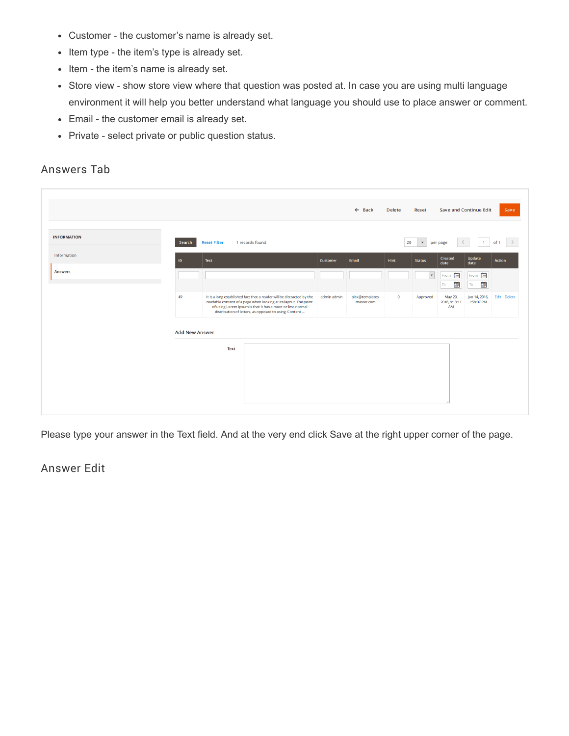- Customer the customer's name is already set.
- Item type the item's type is already set.
- Item the item's name is already set.
- Store view show store view where that question was posted at. In case you are using multi language environment it will help you better understand what language you should use to place answer or comment.
- Email the customer email is already set.
- Private select private or public question status.

#### <span id="page-6-0"></span>Answers Tab

|                    |                       |                     |                                                                                                                                                                                                                                                                 |             | $\leftarrow$ Back             | <b>Delete</b> | <b>Reset</b>         |                                | <b>Save and Continue Edit</b> | Save               |
|--------------------|-----------------------|---------------------|-----------------------------------------------------------------------------------------------------------------------------------------------------------------------------------------------------------------------------------------------------------------|-------------|-------------------------------|---------------|----------------------|--------------------------------|-------------------------------|--------------------|
| <b>INFORMATION</b> | Search                | <b>Reset Filter</b> | 1 records found                                                                                                                                                                                                                                                 |             |                               | 20            | $\mathbf{v}$         | per page                       | $\sim$<br>$-1$                | of 1 $\rightarrow$ |
| Information        | ID.                   | Text                |                                                                                                                                                                                                                                                                 | Customer    | Email                         | Hint          | <b>Status</b>        | Created<br>date                | Update<br>date                | Action             |
| <b>Answers</b>     |                       |                     |                                                                                                                                                                                                                                                                 |             |                               |               | $\blacktriangledown$ | 靊<br>From<br>画<br>To           | From <b>Figure</b><br>襺<br>To |                    |
|                    | 49                    |                     | It is a long established fact that a reader will be distracted by the<br>readable content of a page when looking at its layout. The point<br>of using Lorem Ipsum is that it has a more or less normal<br>distribution of letters, as opposed to using 'Content | admin admin | alex@templates-<br>master.com | $\bullet$     | Approved             | May 20,<br>2016, 9:13:11<br>AM | Jun 14, 2016,<br>1:58:07 PM   | Edit   Delete      |
|                    | <b>Add New Answer</b> |                     |                                                                                                                                                                                                                                                                 |             |                               |               |                      |                                |                               |                    |
|                    |                       | <b>Text</b>         |                                                                                                                                                                                                                                                                 |             |                               |               |                      |                                |                               |                    |
|                    |                       |                     |                                                                                                                                                                                                                                                                 |             |                               |               |                      |                                |                               |                    |
|                    |                       |                     |                                                                                                                                                                                                                                                                 |             |                               |               |                      |                                |                               |                    |

Please type your answer in the Text field. And at the very end click Save at the right upper corner of the page.

#### <span id="page-6-1"></span>Answer Edit